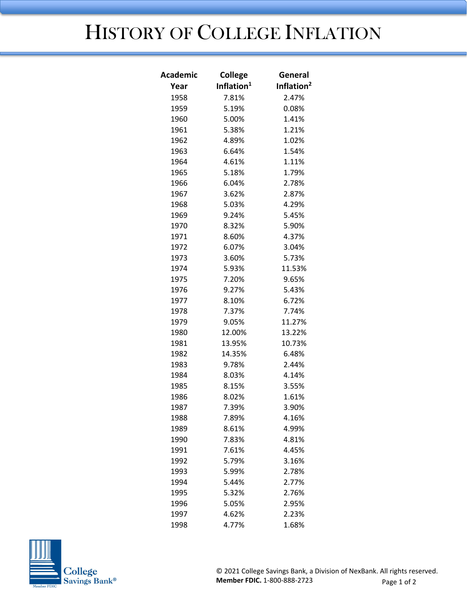## HISTORY OF COLLEGE INFLATION

| Inflation <sup>1</sup><br>Inflation <sup>2</sup><br>Year<br>1958<br>7.81%<br>2.47%<br>1959<br>5.19%<br>0.08%<br>1960<br>5.00%<br>1.41%<br>1961<br>5.38%<br>1.21%<br>1962<br>4.89%<br>1.02%<br>1963<br>1.54%<br>6.64%<br>1964<br>4.61%<br>1.11%<br>1965<br>5.18%<br>1.79%<br>1966<br>6.04%<br>2.78%<br>1967<br>3.62%<br>2.87%<br>1968<br>5.03%<br>4.29%<br>1969<br>9.24%<br>5.45%<br>1970<br>5.90%<br>8.32%<br>4.37%<br>1971<br>8.60%<br>1972<br>6.07%<br>3.04%<br>1973<br>3.60%<br>5.73%<br>1974<br>5.93%<br>11.53%<br>9.65%<br>1975<br>7.20%<br>1976<br>9.27%<br>5.43%<br>1977<br>8.10%<br>6.72%<br>1978<br>7.37%<br>7.74%<br>1979<br>9.05%<br>11.27%<br>12.00%<br>1980<br>13.22%<br>1981<br>13.95%<br>10.73%<br>14.35%<br>6.48%<br>1982<br>1983<br>9.78%<br>2.44%<br>1984<br>8.03%<br>4.14%<br>1985<br>8.15%<br>3.55%<br>1986<br>8.02%<br>1.61%<br>7.39%<br>1987<br>3.90%<br>1988<br>7.89%<br>4.16%<br>8.61%<br>4.99%<br>1989<br>1990<br>7.83%<br>4.81%<br>1991<br>7.61%<br>4.45%<br>1992<br>5.79%<br>3.16%<br>5.99%<br>1993<br>2.78%<br>5.44%<br>1994<br>2.77%<br>5.32%<br>2.76%<br>1995<br>1996<br>5.05%<br>2.95%<br>1997<br>4.62%<br>2.23%<br>4.77%<br>1998<br>1.68% | <b>Academic</b> | <b>College</b> | General |
|---------------------------------------------------------------------------------------------------------------------------------------------------------------------------------------------------------------------------------------------------------------------------------------------------------------------------------------------------------------------------------------------------------------------------------------------------------------------------------------------------------------------------------------------------------------------------------------------------------------------------------------------------------------------------------------------------------------------------------------------------------------------------------------------------------------------------------------------------------------------------------------------------------------------------------------------------------------------------------------------------------------------------------------------------------------------------------------------------------------------------------------------------------------------------|-----------------|----------------|---------|
|                                                                                                                                                                                                                                                                                                                                                                                                                                                                                                                                                                                                                                                                                                                                                                                                                                                                                                                                                                                                                                                                                                                                                                           |                 |                |         |
|                                                                                                                                                                                                                                                                                                                                                                                                                                                                                                                                                                                                                                                                                                                                                                                                                                                                                                                                                                                                                                                                                                                                                                           |                 |                |         |
|                                                                                                                                                                                                                                                                                                                                                                                                                                                                                                                                                                                                                                                                                                                                                                                                                                                                                                                                                                                                                                                                                                                                                                           |                 |                |         |
|                                                                                                                                                                                                                                                                                                                                                                                                                                                                                                                                                                                                                                                                                                                                                                                                                                                                                                                                                                                                                                                                                                                                                                           |                 |                |         |
|                                                                                                                                                                                                                                                                                                                                                                                                                                                                                                                                                                                                                                                                                                                                                                                                                                                                                                                                                                                                                                                                                                                                                                           |                 |                |         |
|                                                                                                                                                                                                                                                                                                                                                                                                                                                                                                                                                                                                                                                                                                                                                                                                                                                                                                                                                                                                                                                                                                                                                                           |                 |                |         |
|                                                                                                                                                                                                                                                                                                                                                                                                                                                                                                                                                                                                                                                                                                                                                                                                                                                                                                                                                                                                                                                                                                                                                                           |                 |                |         |
|                                                                                                                                                                                                                                                                                                                                                                                                                                                                                                                                                                                                                                                                                                                                                                                                                                                                                                                                                                                                                                                                                                                                                                           |                 |                |         |
|                                                                                                                                                                                                                                                                                                                                                                                                                                                                                                                                                                                                                                                                                                                                                                                                                                                                                                                                                                                                                                                                                                                                                                           |                 |                |         |
|                                                                                                                                                                                                                                                                                                                                                                                                                                                                                                                                                                                                                                                                                                                                                                                                                                                                                                                                                                                                                                                                                                                                                                           |                 |                |         |
|                                                                                                                                                                                                                                                                                                                                                                                                                                                                                                                                                                                                                                                                                                                                                                                                                                                                                                                                                                                                                                                                                                                                                                           |                 |                |         |
|                                                                                                                                                                                                                                                                                                                                                                                                                                                                                                                                                                                                                                                                                                                                                                                                                                                                                                                                                                                                                                                                                                                                                                           |                 |                |         |
|                                                                                                                                                                                                                                                                                                                                                                                                                                                                                                                                                                                                                                                                                                                                                                                                                                                                                                                                                                                                                                                                                                                                                                           |                 |                |         |
|                                                                                                                                                                                                                                                                                                                                                                                                                                                                                                                                                                                                                                                                                                                                                                                                                                                                                                                                                                                                                                                                                                                                                                           |                 |                |         |
|                                                                                                                                                                                                                                                                                                                                                                                                                                                                                                                                                                                                                                                                                                                                                                                                                                                                                                                                                                                                                                                                                                                                                                           |                 |                |         |
|                                                                                                                                                                                                                                                                                                                                                                                                                                                                                                                                                                                                                                                                                                                                                                                                                                                                                                                                                                                                                                                                                                                                                                           |                 |                |         |
|                                                                                                                                                                                                                                                                                                                                                                                                                                                                                                                                                                                                                                                                                                                                                                                                                                                                                                                                                                                                                                                                                                                                                                           |                 |                |         |
|                                                                                                                                                                                                                                                                                                                                                                                                                                                                                                                                                                                                                                                                                                                                                                                                                                                                                                                                                                                                                                                                                                                                                                           |                 |                |         |
|                                                                                                                                                                                                                                                                                                                                                                                                                                                                                                                                                                                                                                                                                                                                                                                                                                                                                                                                                                                                                                                                                                                                                                           |                 |                |         |
|                                                                                                                                                                                                                                                                                                                                                                                                                                                                                                                                                                                                                                                                                                                                                                                                                                                                                                                                                                                                                                                                                                                                                                           |                 |                |         |
|                                                                                                                                                                                                                                                                                                                                                                                                                                                                                                                                                                                                                                                                                                                                                                                                                                                                                                                                                                                                                                                                                                                                                                           |                 |                |         |
|                                                                                                                                                                                                                                                                                                                                                                                                                                                                                                                                                                                                                                                                                                                                                                                                                                                                                                                                                                                                                                                                                                                                                                           |                 |                |         |
|                                                                                                                                                                                                                                                                                                                                                                                                                                                                                                                                                                                                                                                                                                                                                                                                                                                                                                                                                                                                                                                                                                                                                                           |                 |                |         |
|                                                                                                                                                                                                                                                                                                                                                                                                                                                                                                                                                                                                                                                                                                                                                                                                                                                                                                                                                                                                                                                                                                                                                                           |                 |                |         |
|                                                                                                                                                                                                                                                                                                                                                                                                                                                                                                                                                                                                                                                                                                                                                                                                                                                                                                                                                                                                                                                                                                                                                                           |                 |                |         |
|                                                                                                                                                                                                                                                                                                                                                                                                                                                                                                                                                                                                                                                                                                                                                                                                                                                                                                                                                                                                                                                                                                                                                                           |                 |                |         |
|                                                                                                                                                                                                                                                                                                                                                                                                                                                                                                                                                                                                                                                                                                                                                                                                                                                                                                                                                                                                                                                                                                                                                                           |                 |                |         |
|                                                                                                                                                                                                                                                                                                                                                                                                                                                                                                                                                                                                                                                                                                                                                                                                                                                                                                                                                                                                                                                                                                                                                                           |                 |                |         |
|                                                                                                                                                                                                                                                                                                                                                                                                                                                                                                                                                                                                                                                                                                                                                                                                                                                                                                                                                                                                                                                                                                                                                                           |                 |                |         |
|                                                                                                                                                                                                                                                                                                                                                                                                                                                                                                                                                                                                                                                                                                                                                                                                                                                                                                                                                                                                                                                                                                                                                                           |                 |                |         |
|                                                                                                                                                                                                                                                                                                                                                                                                                                                                                                                                                                                                                                                                                                                                                                                                                                                                                                                                                                                                                                                                                                                                                                           |                 |                |         |
|                                                                                                                                                                                                                                                                                                                                                                                                                                                                                                                                                                                                                                                                                                                                                                                                                                                                                                                                                                                                                                                                                                                                                                           |                 |                |         |
|                                                                                                                                                                                                                                                                                                                                                                                                                                                                                                                                                                                                                                                                                                                                                                                                                                                                                                                                                                                                                                                                                                                                                                           |                 |                |         |
|                                                                                                                                                                                                                                                                                                                                                                                                                                                                                                                                                                                                                                                                                                                                                                                                                                                                                                                                                                                                                                                                                                                                                                           |                 |                |         |
|                                                                                                                                                                                                                                                                                                                                                                                                                                                                                                                                                                                                                                                                                                                                                                                                                                                                                                                                                                                                                                                                                                                                                                           |                 |                |         |
|                                                                                                                                                                                                                                                                                                                                                                                                                                                                                                                                                                                                                                                                                                                                                                                                                                                                                                                                                                                                                                                                                                                                                                           |                 |                |         |
|                                                                                                                                                                                                                                                                                                                                                                                                                                                                                                                                                                                                                                                                                                                                                                                                                                                                                                                                                                                                                                                                                                                                                                           |                 |                |         |
|                                                                                                                                                                                                                                                                                                                                                                                                                                                                                                                                                                                                                                                                                                                                                                                                                                                                                                                                                                                                                                                                                                                                                                           |                 |                |         |
|                                                                                                                                                                                                                                                                                                                                                                                                                                                                                                                                                                                                                                                                                                                                                                                                                                                                                                                                                                                                                                                                                                                                                                           |                 |                |         |
|                                                                                                                                                                                                                                                                                                                                                                                                                                                                                                                                                                                                                                                                                                                                                                                                                                                                                                                                                                                                                                                                                                                                                                           |                 |                |         |
|                                                                                                                                                                                                                                                                                                                                                                                                                                                                                                                                                                                                                                                                                                                                                                                                                                                                                                                                                                                                                                                                                                                                                                           |                 |                |         |
|                                                                                                                                                                                                                                                                                                                                                                                                                                                                                                                                                                                                                                                                                                                                                                                                                                                                                                                                                                                                                                                                                                                                                                           |                 |                |         |